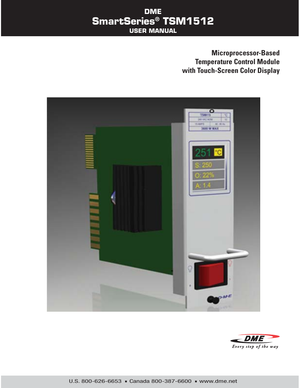## **Microprocessor-Based Temperature Control Module with Touch-Screen Color Display**



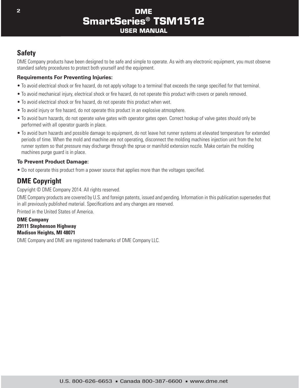# **Safety**

DME Company products have been designed to be safe and simple to operate. As with any electronic equipment, you must observe standard safety procedures to protect both yourself and the equipment.

#### **Requirements For Preventing Injuries:**

- To avoid electrical shock or fire hazard, do not apply voltage to a terminal that exceeds the range specified for that terminal.
- To avoid mechanical injury, electrical shock or fire hazard, do not operate this product with covers or panels removed.
- To avoid electrical shock or fire hazard, do not operate this product when wet.
- To avoid injury or fire hazard, do not operate this product in an explosive atmosphere.
- To avoid burn hazards, do not operate valve gates with operator gates open. Correct hookup of valve gates should only be performed with all operator guards in place.
- To avoid burn hazards and possible damage to equipment, do not leave hot runner systems at elevated temperature for extended periods of time. When the mold and machine are not operating, disconnect the molding machines injection unit from the hot runner system so that pressure may discharge through the sprue or manifold extension nozzle. Make certain the molding machines purge guard is in place.

#### **To Prevent Product Damage:**

• Do not operate this product from a power source that applies more than the voltages specified.

# **DME Copyright**

Copyright © DME Company 2014. All rights reserved.

DME Company products are covered by U.S. and foreign patents, issued and pending. Information in this publication supersedes that in all previously published material. Specifications and any changes are reserved.

Printed in the United States of America.

#### **DME Company 29111 Stephenson Highway Madison Heights, MI 48071**

DME Company and DME are registered trademarks of DME Company LLC.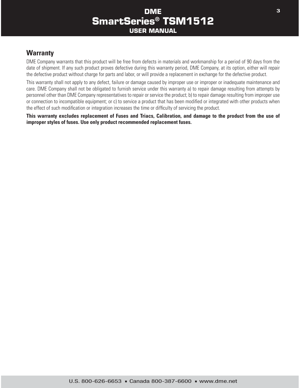#### **Warranty**

DME Company warrants that this product will be free from defects in materials and workmanship for a period of 90 days from the date of shipment. If any such product proves defective during this warranty period, DME Company, at its option, either will repair the defective product without charge for parts and labor, or will provide a replacement in exchange for the defective product.

This warranty shall not apply to any defect, failure or damage caused by improper use or improper or inadequate maintenance and care. DME Company shall not be obligated to furnish service under this warranty a) to repair damage resulting from attempts by personnel other than DME Company representatives to repair or service the product; b) to repair damage resulting from improper use or connection to incompatible equipment; or c) to service a product that has been modified or integrated with other products when the effect of such modification or integration increases the time or difficulty of servicing the product.

**This warranty excludes replacement of Fuses and Triacs, Calibration, and damage to the product from the use of improper styles of fuses. Use only product recommended replacement fuses.**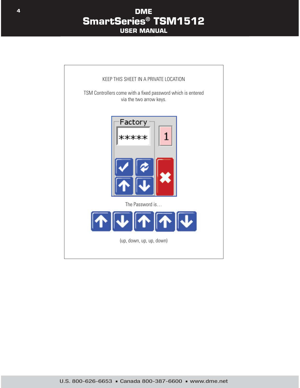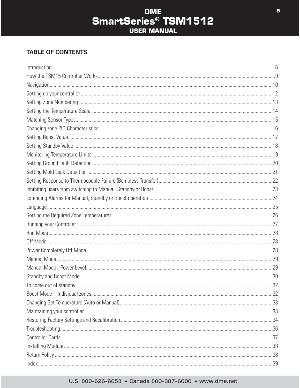# **DME SmartSeries<sup>®</sup> TSM1512 USER MANUAL**

#### **TABLE OF CONTENTS**

#### U.S. 800-626-6653 · Canada 800-387-6600 · www.dme.net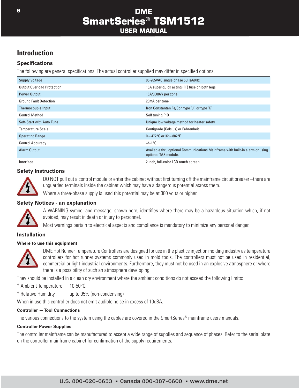## **Introduction**

#### **Specifications**

The following are general specifications. The actual controller supplied may differ in specified options.

| <b>Supply Voltage</b>             | 95-265VAC single phase 50Hz/60Hz                                                                      |
|-----------------------------------|-------------------------------------------------------------------------------------------------------|
| <b>Output Overload Protection</b> | 15A super-quick acting (FF) fuse on both legs                                                         |
| <b>Power Output</b>               | 15A/3000W per zone                                                                                    |
| <b>Ground Fault Detection</b>     | 20mA per zone                                                                                         |
| Thermocouple Input                | Iron Constantan Fe/Con type 'J', or type 'K'                                                          |
| <b>Control Method</b>             | Self tuning PID                                                                                       |
| Soft-Start with Auto Tune         | Unique low voltage method for heater safety                                                           |
| <b>Temperature Scale</b>          | Centigrade (Celsius) or Fahrenheit                                                                    |
| <b>Operating Range</b>            | $0 - 472$ °C or 32 - 882°F                                                                            |
| <b>Control Accuracy</b>           | $+/-1$ °C                                                                                             |
| Alarm Output                      | Available thru optional Communications Mainframe with built-in alarm or using<br>optional TAS module. |
| Interface                         | 2 inch, full-color LCD touch screen                                                                   |

#### **Safety Instructions**



DO NOT pull out a control module or enter the cabinet without first turning off the mainframe circuit breaker –there are unguarded terminals inside the cabinet which may have a dangerous potential across them.

Where a three-phase supply is used this potential may be at 380 volts or higher.

#### **Safety Notices - an explanation**



A WARNING symbol and message, shown here, identifies where there may be a hazardous situation which, if not avoided, may result in death or injury to personnel.

Most warnings pertain to electrical aspects and compliance is mandatory to minimize any personal danger.

#### **Installation**

#### **Where to use this equipment**



DME Hot Runner Temperature Controllers are designed for use in the plastics injection molding industry as temperature controllers for hot runner systems commonly used in mold tools. The controllers must not be used in residential, commercial or light-industrial environments. Furthermore, they must not be used in an explosive atmosphere or where there is a possibility of such an atmosphere developing.

They should be installed in a clean dry environment where the ambient conditions do not exceed the following limits:

- \* Ambient Temperature 10-50°C.
- \* Relative Humidity up to 95% (non-condensing)

When in use this controller does not emit audible noise in excess of 10dBA.

#### **Controller — Tool Connections**

The various connections to the system using the cables are covered in the SmartSeries<sup>®</sup> mainframe users manuals.

#### **Controller Power Supplies**

The controller mainframe can be manufactured to accept a wide range of supplies and sequence of phases. Refer to the serial plate on the controller mainframe cabinet for confirmation of the supply requirements.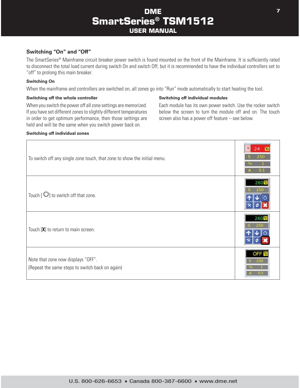#### **Switching "On" and "Off"**

The SmartSeries® Mainframe circuit breaker power switch is found mounted on the front of the Mainframe. It is sufficiently rated to disconnect the total load current during switch On and switch Off, but it is recommended to have the individual controllers set to "off" to prolong this main breaker.

#### **Switching On**

When the mainframe and controllers are switched on, all zones go into "Run" mode automatically to start heating the tool.

#### **Switching off the whole controller**

When you switch the power off all zone settings are memorized. If you have set different zones to slightly different temperatures in order to get optimum performance, then those settings are held and will be the same when you switch power back on.

#### **Switching off individual zones**

#### **Switching off individual modules**

Each module has its own power switch. Use the rocker switch below the screen to turn the module off and on. The touch screen also has a power off feature – see below.

| To switch off any single zone touch, that zone to show the initial menu.              | 250<br>ി  |
|---------------------------------------------------------------------------------------|-----------|
| Touch $[\bigcirc]$ to switch off that zone.                                           | $260$ C   |
| Touch $[X]$ to return to main screen.                                                 | 26<br>250 |
| Note that zone now displays "OFF".<br>(Repeat the same steps to switch back on again) | OF        |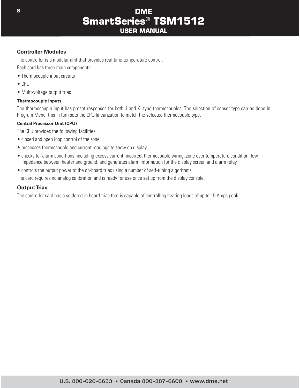#### **Controller Modules**

The controller is a modular unit that provides real time temperature control.

Each card has three main components:

- Thermocouple input circuits
- $\bullet$  CPU
- Multi-voltage output triac

#### **Thermocouple Inputs**

The thermocouple input has preset responses for both J and K- type thermocouples. The selection of sensor type can be done in Program Menu; this in turn sets the CPU linearization to match the selected thermocouple type.

#### **Central Processor Unit (CPU)**

The CPU provides the following facilities:

- closed and open loop control of the zone,
- processes thermocouple and current readings to show on display,
- checks for alarm conditions, including excess current, incorrect thermocouple wiring, zone over temperature condition, low impedance between heater and ground, and generates alarm information for the display screen and alarm relay,
- controls the output power to the on-board triac using a number of self-tuning algorithms

The card requires no analog calibration and is ready for use once set up from the display console.

#### **Output Triac**

The controller card has a soldered-in board triac that is capable of controlling heating loads of up to 15 Amps peak.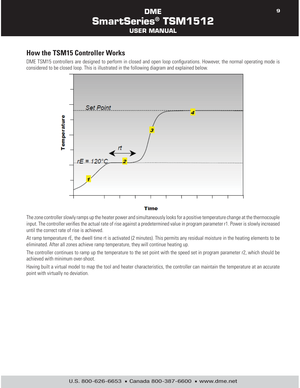#### **How the TSM15 Controller Works**

DME TSM15 controllers are designed to perform in closed and open loop configurations. However, the normal operating mode is considered to be closed loop. This is illustrated in the following diagram and explained below.



**Time** 

The zone controller slowly ramps up the heater power and simultaneously looks for a positive temperature change at the thermocouple input. The controller verifies the actual rate of rise against a predetermined value in program parameter r1. Power is slowly increased until the correct rate of rise is achieved.

At ramp temperature rE, the dwell time rt is activated (2 minutes). This permits any residual moisture in the heating elements to be eliminated. After all zones achieve ramp temperature, they will continue heating up.

The controller continues to ramp up the temperature to the set point with the speed set in program parameter r2, which should be achieved with minimum over-shoot.

Having built a virtual model to map the tool and heater characteristics, the controller can maintain the temperature at an accurate point with virtually no deviation.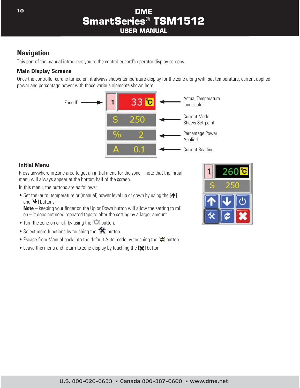# **Navigation**

This part of the manual introduces you to the controller card's operator display screens.

#### **Main Display Screens**

Once the controller card is turned on, it always shows temperature display for the zone along with set temperature, current applied power and percentage power with those various elements shown here.



#### **Initial Menu**

Press anywhere in Zone area to get an initial menu for the zone – note that the initial menu will always appear at the bottom half of the screen.

In this menu, the buttons are as follows:

• Set the (auto) temperature or (manual) power level up or down by using the  $[\hat{\bullet}]$ and  $[\mathbf{\blacktriangleright}]$  buttons.

**Note** – keeping your finger on the Up or Down button will allow the setting to roll on – it does not need repeated taps to alter the setting by a larger amount.

- $\bullet$  Turn the zone on or off by using the  $[$ *C* $]$  button.
- Select more functions by touching the  $[$   $\blacktriangleright$  button.
- Escape from Manual back into the default Auto mode by touching the [<sup>2]</sup> button.
- $\bullet$  Leave this menu and return to zone display by touching the  $[\mathbf{\times}]$  button.

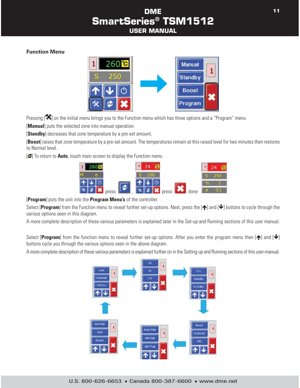#### **Function Menu**



Pressing [ $\blacktriangleright$ ] on the initial menu brings you to the Function menu which has three options and a "Program" menu

[**Manual**] puts the selected zone into manual operation.

[**Standby**] decreases that zone temperature by a pre-set amount.

[**Boost**] raises that zone temperature by a pre-set amount. The temperatures remain at this raised level for two minutes then restores to Normal level.

**[2]** To return to **Auto**, touch main screen to display the Function menu



[**Program**] puts the unit into the **Program Menu's** of the controller.

Select [Program] from the Function menu to reveal further set-up options. Next, press the [ $\bigtriangleup$ ] and [ $\bigtriangledown$ ] buttons to cycle through the various options seen in this diagram.

A more complete description of these various parameters is explained later in the Set-up and Running sections of this user manual.

Select [**Program**] from the function menu to reveal further set-up options. After you enter the program menu then  $[\triangle]$  and  $[\triangle]$ buttons cycle you through the various options seen in the above diagram.

A more complete description of these various parameters is explained further on in the Setting-up and Running sections of this user-manual.

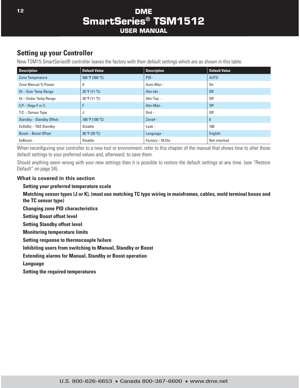# **Setting up your Controller**

New TSM15 SmartSeries® controller leaves the factory with their default settings which are as shown in this table.

| <b>Description</b>        | <b>Default Value</b> | <b>Description</b> | <b>Default Value</b> |
|---------------------------|----------------------|--------------------|----------------------|
| Zone Temperature          | 500 °F (260 °C)      | $PID -$            | AUT <sub>0</sub>     |
| Zone Manual % Power       | 0                    | Auto-Man -         | 0n                   |
| Ot-Over Temp Range        | 20 °F(11 °C)         | Alm-tdn -          | 0ff                  |
| Ut-Under Temp Range       | 20 °F (11 °C)        | Alm-Tup -          | 0ff                  |
| $C/F - Deqs F$ or $C$     | F                    | Alm-Man -          | 0ff                  |
| $T/C -$ Sensor Type       | J                    | Gnd -              | 0ff                  |
| Standby - Standby Offset  | 180 °F (100 °C)      | Zone# $-$          | $\bf{0}$             |
| ExStdby - TAS Standby     | Disable              | Leak -             | 100                  |
| <b>Boost-Boost Offset</b> | 36 °F (20 °C)        | Language -         | English              |
| ExBoost -                 | <b>Disable</b>       | Factory - M.Dis    | Not checked          |

When reconfiguring your controller to a new tool or environment, refer to this chapter of the manual that shows how to alter those default settings to your preferred values and, afterward, to save them.

Should anything seem wrong with your new settings then it is possible to restore the default settings at any time. (see "Restore Default" on page 34).

#### **What is covered in this section**

#### **Setting your preferred temperature scale**

**Matching sensor types (J or K), (must use matching TC type wiring in mainframes, cables, mold terminal boxes and the TC sensor type)**

**Changing zone PID characteristics**

**Setting Boost offset level**

**Setting Standby offset level**

**Monitoring temperature limits**

**Setting response to thermocouple failure**

**Inhibiting users from switching to Manual, Standby or Boost** 

**Extending alarms for Manual, Standby or Boost operation**

**Language**

**Setting the required temperatures**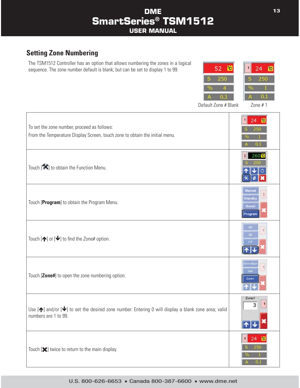# **Setting Zone Numbering**

The TSM1512 Controller has an option that allows numbering the zones in a logical sequence. The zone number default is blank; but can be set to display 1 to 99.



Default Zone # Blank Zone # 1

| To set the zone number, proceed as follows:<br>From the Temperature Display Screen, touch zone to obtain the initial menu.                       | 24 <b>C</b><br>250<br>ОΟ                     |
|--------------------------------------------------------------------------------------------------------------------------------------------------|----------------------------------------------|
| Touch [X] to obtain the Function Menu.                                                                                                           | 260 <sup>°</sup> c                           |
| Touch [Program] to obtain the Program Menu.                                                                                                      | Manual<br><b>Standby</b><br>Boost<br>Program |
| Touch $[\spadesuit]$ or $[\clubsuit]$ to find the Zone# option.                                                                                  | O(<br><b>Ut</b>                              |
| Touch [Zone#] to open the zone numbering option.                                                                                                 | Alm-Mar<br>Gnd<br>Zone#                      |
| Use $[\spadesuit]$ and/or $[\clubsuit]$ to set the desired zone number. Entering 0 will display a blank zone area; valid<br>numbers are 1 to 99. | Zone#                                        |
| Touch $[\mathbf{\times}]$ twice to return to the main display.                                                                                   | 24<br>$\mathbf{3}$<br>250<br>0 <sub>1</sub>  |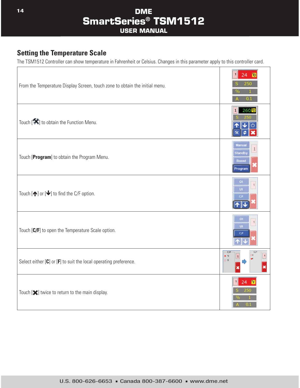### **Setting the Temperature Scale**

The TSM1512 Controller can show temperature in Fahrenheit or Celsius. Changes in this parameter apply to this controller card.

 $\top$ 

٦

| From the Temperature Display Screen, touch zone to obtain the initial menu. | 24<br>01                                     |
|-----------------------------------------------------------------------------|----------------------------------------------|
| Touch [X] to obtain the Function Menu.                                      | 260 <sup>°</sup> c                           |
| Touch [Program] to obtain the Program Menu.                                 | Manual<br>Standby<br><b>Boost</b><br>Program |
| Touch $[\spadesuit]$ or $[\clubsuit]$ to find the C/F option.               | O(<br><b>Ut</b>                              |
| Touch [C/F] to open the Temperature Scale option.                           | $\bullet$<br>$\overline{u}$<br>C/F           |
| Select either $[C]$ or $[F]$ to suit the local operating preference.        | C/F<br>C/F<br>$\bullet$ 'C<br>1<br>OF        |
| Touch [ $\blacktriangleright$ ] twice to return to the main display.        | 24                                           |

 $\Gamma$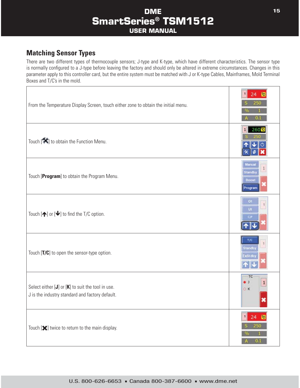# **Matching Sensor Types**

There are two different types of thermocouple sensors; J-type and K-type, which have different characteristics. The sensor type is normally configured to a J-type before leaving the factory and should only be altered in extreme circumstances. Changes in this parameter apply to this controller card, but the entire system must be matched with J or K-type Cables, Mainframes, Mold Terminal Boxes and T/C's in the mold.

| From the Temperature Display Screen, touch either zone to obtain the initial menu.                       | 24<br>OЛ                             |
|----------------------------------------------------------------------------------------------------------|--------------------------------------|
| Touch [X] to obtain the Function Menu.                                                                   | 260 <sup>°</sup>                     |
| Touch [Program] to obtain the Program Menu.                                                              | Manua<br>Standby<br>Boost<br>Program |
| Touch $[\spadesuit]$ or $[\clubsuit]$ to find the T/C option.                                            | O1<br>Ùť<br>C/F                      |
| Touch [T/C] to open the sensor-type option.                                                              | T/C<br>Standby<br>ExStdb             |
| Select either $[J]$ or $[K]$ to suit the tool in use.<br>J is the industry standard and factory default. | TC<br>$\bullet$ J<br>$\circ$ K       |
| Touch $[\mathbf{\times}]$ twice to return to the main display.                                           | 24<br>250<br>0.1                     |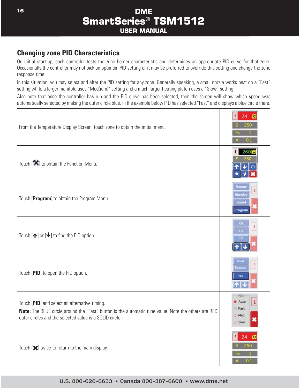### **Changing zone PID Characteristics**

On initial start-up, each controller tests the zone heater characteristic and determines an appropriate PID curve for that zone. Occasionally the controller may not pick an optimum PID setting or it may be preferred to override this setting and change the zone response time.

In this situation, you may select and alter the PID setting for any zone. Generally speaking, a small nozzle works best on a "Fast" setting while a larger manifold uses "Med(ium)" setting and a much larger heating platen uses a "Slow" setting.

Also note that once the controller has run and the PID curve has been selected, then the screen will show which speed was automatically selected by making the outer circle blue. In the example below PID has selected "Fast" and displays a blue circle there.

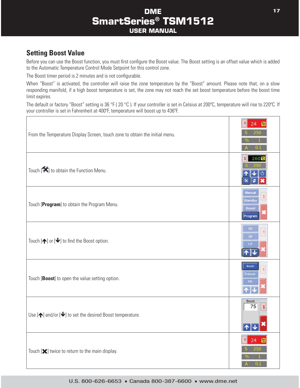## **Setting Boost Value**

Before you can use the Boost function, you must first configure the Boost value. The Boost setting is an offset value which is added to the Automatic Temperature Control Mode Setpoint for this control zone.

The Boost timer period is 2 minutes and is not configurable.

When "Boost" is activated, the controller will raise the zone temperature by the "Boost" amount. Please note that, on a slow responding manifold, if a high boost temperature is set, the zone may not reach the set boost temperature before the boost time limit expires.

The default or factory "Boost" setting is 36 °F (20 °C). If your controller is set in Celsius at 200°C, temperature will rise to 220°C. If your controller is set in Fahrenheit at 400ºF, temperature will boost up to 436ºF.

| From the Temperature Display Screen, touch zone to obtain the initial menu.    |                                      |
|--------------------------------------------------------------------------------|--------------------------------------|
| Touch [X] to obtain the Function Menu.                                         | $260^\circ$ C                        |
| Touch [Program] to obtain the Program Menu.                                    | Aanua<br>Standby<br>Boost<br>Program |
| Touch $[\spadesuit]$ or $[\clubsuit]$ to find the Boost option.                | O1<br><b>Ut</b><br>CIF               |
| Touch [Boost] to open the value setting option.                                | <b>Boost</b><br>ExBoos               |
| Use $[\spadesuit]$ and/or $[\spadesuit]$ to set the desired Boost temperature. | Boost<br>75                          |
| Touch $[\mathbf{\times}]$ twice to return to the main display.                 | 24<br>1<br>0.1                       |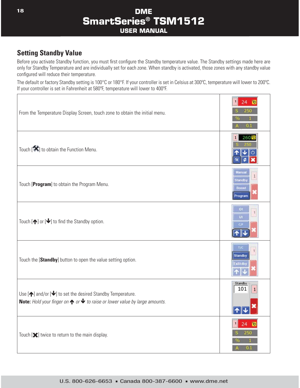## **Setting Standby Value**

Before you activate Standby function, you must first configure the Standby temperature value. The Standby settings made here are only for Standby Temperature and are individually set for each zone. When standby is activated, those zones with any standby value configured will reduce their temperature.

The default or factory Standby setting is 100°C or 180°F. If your controller is set in Celsius at 300ºC, temperature will lower to 200ºC. If your controller is set in Fahrenheit at 580ºF, temperature will lower to 400ºF.

| From the Temperature Display Screen, touch zone to obtain the initial menu.                                                                                                     | 24<br>01                             |
|---------------------------------------------------------------------------------------------------------------------------------------------------------------------------------|--------------------------------------|
| Touch $[\mathbf{X}]$ to obtain the Function Menu.                                                                                                                               | 260 <sup>o</sup>                     |
| Touch [Program] to obtain the Program Menu.                                                                                                                                     | Manua<br>Standby<br>Boost<br>Program |
| Touch $[\spadesuit]$ or $[\clubsuit]$ to find the Standby option.                                                                                                               | O1<br>ÜĹ<br>C/F                      |
| Touch the [Standby] button to open the value setting option.                                                                                                                    | T/C<br>Standby<br><b>Ex3tdb</b>      |
| Use $[\spadesuit]$ and/or $[\clubsuit]$ to set the desired Standby Temperature.<br>Note: Hold your finger on $\bigwedge$ or $\bigvee$ to raise or lower value by large amounts. | Standby<br>101                       |
| Touch $[\mathbf{\times}]$ twice to return to the main display.                                                                                                                  | 0.1                                  |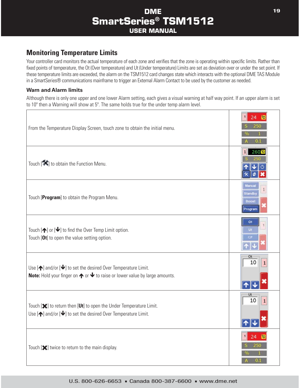## **Monitoring Temperature Limits**

Your controller card monitors the actual temperature of each zone and verifies that the zone is operating within specific limits. Rather than fixed points of temperature, the Ot (Over temperature) and Ut (Under temperature) Limits are set as deviation over or under the set point. If these temperature limits are exceeded, the alarm on the TSM1512 card changes state which interacts with the optional DME TAS Module in a SmartSeries® communications mainframe to trigger an External Alarm Contact to be used by the customer as needed.

#### **Warn and Alarm limits**

Although there is only one upper and one lower Alarm setting, each gives a visual warning at half way point. If an upper alarm is set to 10º then a Warning will show at 5º. The same holds true for the under temp alarm level.

| From the Temperature Display Screen, touch zone to obtain the initial menu.                                                                                                             |                                           |
|-----------------------------------------------------------------------------------------------------------------------------------------------------------------------------------------|-------------------------------------------|
| Touch $[\mathbf{\mathsf{X}}]$ to obtain the Function Menu.                                                                                                                              | 260 <mark>°C</mark>                       |
| Touch [Program] to obtain the Program Menu.                                                                                                                                             | Aanua<br>.<br>Standby<br>Boost<br>Program |
| Touch $[\bigtriangleup]$ or $[\bigtriangledown]$ to find the Over Temp Limit option.<br>Touch [Ot] to open the value setting option.                                                    | OI<br>Ut.<br>cл                           |
| Use $[\spadesuit]$ and/or $[\clubsuit]$ to set the desired Over Temperature Limit.<br>Note: Hold your finger on $\bigwedge$ or $\bigvee$ to raise or lower value by large amounts.      | Ot<br>10                                  |
| Touch [ $\blacktriangleright$ ] to return then [Ut] to open the Under Temperature Limit.<br>Use $[\bigtriangleup]$ and/or $[\bigtriangleup]$ to set the desired Over Temperature Limit. | Ut<br>10                                  |
| Touch $[\mathbf{\times}]$ twice to return to the main display.                                                                                                                          | œ                                         |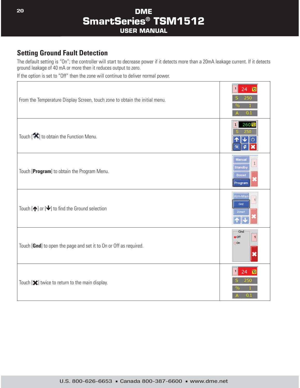## **Setting Ground Fault Detection**

The default setting is "On"; the controller will start to decrease power if it detects more than a 20mA leakage current. If it detects ground leakage of 40 mA or more then it reduces output to zero.

If the option is set to "Off" then the zone will continue to deliver normal power.

| From the Temperature Display Screen, touch zone to obtain the initial menu. | 250<br>0.1                                   |
|-----------------------------------------------------------------------------|----------------------------------------------|
| Touch [X] to obtain the Function Menu.                                      | 260 <sup>°</sup><br>$\circ$                  |
| Touch [Program] to obtain the Program Menu.                                 | Manual<br>Standby<br>Boost<br>Program        |
| Touch $[\spadesuit]$ or $[\clubsuit]$ to find the Ground selection          | Alm-Mar<br>Gnd<br>Zoner                      |
| Touch [Gnd] to open the page and set it to On or Off as required.           | Gnd<br>$\bullet$ Off<br>$\odot$ On           |
| Touch $[\mathbf{\times}]$ twice to return to the main display.              | $\mathbf{1}$<br>24<br><b>re</b><br>250<br>OЛ |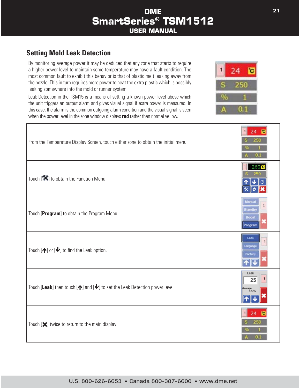## **Setting Mold Leak Detection**

By monitoring average power it may be deduced that any zone that starts to require a higher power level to maintain some temperature may have a fault condition. The most common fault to exhibit this behavior is that of plastic melt leaking away from the nozzle. This in turn requires more power to heat the extra plastic which is possibly leaking somewhere into the mold or runner system.

Leak Detection in the TSM15 is a means of setting a known power level above which the unit triggers an output alarm and gives visual signal if extra power is measured. In this case, the alarm is the common outgoing alarm condition and the visual signal is seen when the power level in the zone window displays **red** rather than normal yellow.



| From the Temperature Display Screen, touch either zone to obtain the initial menu.             | 250<br>01                            |
|------------------------------------------------------------------------------------------------|--------------------------------------|
| Touch $[\mathbf{X}]$ to obtain the Function Menu.                                              | 260 <sup>°</sup> c                   |
| Touch [Program] to obtain the Program Menu.                                                    | Manua<br>Standby<br>Boost<br>Program |
| Touch $[\spadesuit]$ or $[\clubsuit]$ to find the Leak option.                                 | Leak<br>anguag<br>actor              |
| Touch [Leak] then touch $[\spadesuit]$ and $[\clubsuit]$ to set the Leak Detection power level | Leak<br>25                           |
| Touch $[\mathbf{\times}]$ twice to return to the main display                                  | 24<br>οπ                             |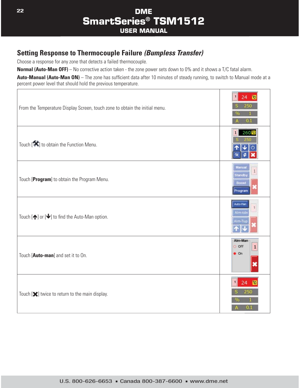# **Setting Response to Thermocouple Failure** *(Bumpless Transfer)*

Choose a response for any zone that detects a failed thermocouple.

**Normal (Auto-Man OFF)** – No corrective action taken - the zone power sets down to 0% and it shows a T/C fatal alarm.

Auto-Manual (Auto-Man ON) – The zone has sufficient data after 10 minutes of steady running, to switch to Manual mode at a percent power level that should hold the previous temperature.

| From the Temperature Display Screen, touch zone to obtain the initial menu. | 01                                     |
|-----------------------------------------------------------------------------|----------------------------------------|
| Touch [X] to obtain the Function Menu.                                      | 260 <sup>°</sup> c<br>$^{\prime}$      |
| Touch [Program] to obtain the Program Menu.                                 | Manual<br>Standby<br>Boost<br>Program  |
| Touch $[\spadesuit]$ or $[\clubsuit]$ to find the Auto-Man option.          | Auto-Mar<br>Alm-tdr<br>ilm-Tui         |
| Touch [Auto-man] and set it to On.                                          | Alm-Man<br>$\circ$ off<br>$\bullet$ On |
| Touch $[\mathbf{\times}]$ twice to return to the main display.              | 24<br>250                              |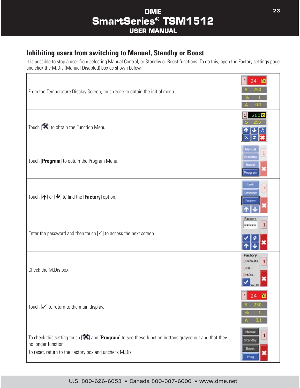## **Inhibiting users from switching to Manual, Standby or Boost**

It is possible to stop a user from selecting Manual Control, or Standby or Boost functions. To do this, open the Factory settings page and click the M.Dis (Manual Disabled) box as shown below.

| From the Temperature Display Screen, touch zone to obtain the initial menu.                                                                                                                               |                                              |
|-----------------------------------------------------------------------------------------------------------------------------------------------------------------------------------------------------------|----------------------------------------------|
| Touch $[\mathbf{\hat{X}}]$ to obtain the Function Menu.                                                                                                                                                   | 260 <sup>°</sup> c                           |
| Touch [Program] to obtain the Program Menu.                                                                                                                                                               | Manual<br><b>Standby</b><br>Boost<br>Program |
| Touch $[\bigtriangleup]$ or $[\bigtriangledown]$ to find the [ <b>Factory</b> ] option.                                                                                                                   | Leak<br>anguag<br><b>Bioctory</b>            |
| Enter the password and then touch $[\checkmark]$ to access the next screen.                                                                                                                               | Factor                                       |
| Check the M.Dis box.                                                                                                                                                                                      | Factory<br>Defaults<br>Cal<br>- MDis.        |
| Touch $[\checkmark]$ to return to the main display.                                                                                                                                                       | 250<br>ю                                     |
| To check this setting touch $[\mathbf{X}]$ and $[\text{Program}]$ to see these function buttons grayed out and that they<br>no longer function.<br>To reset, return to the Factory box and uncheck M.Dis. | Manual<br>Standby<br><b>Boost</b><br>Prog    |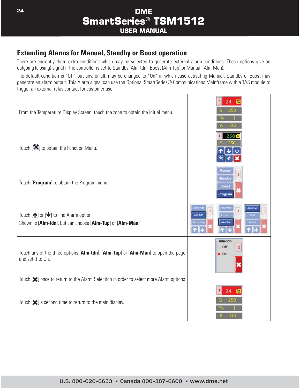### **Extending Alarms for Manual, Standby or Boost operation**

There are currently three extra conditions which may be selected to generate external alarm conditions. These options give an outgoing (closing) signal if the controller is set to Standby (Alm-tdn), Boost (Alm-Tup) or Manual (Alm-Man).

The default condition is "Off" but any, or all, may be changed to "On" in which case activating Manual, Standby or Boost may generate an alarm output. This Alarm signal can use the Optional SmartSeries® Communications Mainframe with a TAS module to trigger an external relay contact for customer use.

| From the Temperature Display Screen, touch the zone to obtain the initial menu.                                          | 1 <sup>1</sup><br>24 <sup>2</sup><br>250<br>0.1                              |
|--------------------------------------------------------------------------------------------------------------------------|------------------------------------------------------------------------------|
| Touch $[\mathbf{\mathcal{K}}]$ to obtain the Function Menu.                                                              | 260 <sup>°</sup> c                                                           |
| Touch [Program] to obtain the Program menu.                                                                              | <b>Manual</b><br><b>Standby</b><br><b>Boost</b><br>Program                   |
| Touch $[\spadesuit]$ or $[\clubsuit]$ to find Alarm option.<br>Shown is [Alm-tdn], but can choose [Alm-Tup] or [Alm-Man] | uto Ha<br>uto-Ha<br>AlmMar<br>Alm-ton<br>Alm-tdn<br>Gnd<br>Alm-Tup<br>Im-Tui |
| Touch any of the three options [Alm-tdn], [Alm-Tup] or [Alm-Man] to open the page<br>and set it to On.                   | Alm-tdn<br>$\circ$ off<br>$\bullet$ On                                       |
| Touch [ $\blacktriangleright$ ] once to return to the Alarm Selection in order to select more Alarm options              |                                                                              |
| Touch $[\mathbf{\times}]$ a second time to return to the main display.                                                   | 24<br>0.1                                                                    |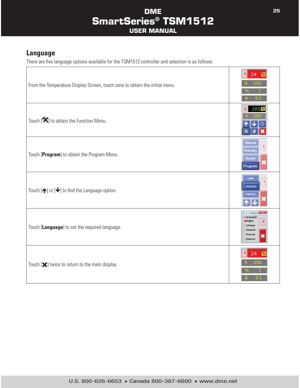### **Language**

 $\sqrt{ }$ 

There are five language options available for the TSM1512 controller and selection is as follows.

| From the Temperature Display Screen, touch zone to obtain the initial menu. | 图<br>$\mathbf{1}$<br>24<br>250<br>01                              |
|-----------------------------------------------------------------------------|-------------------------------------------------------------------|
| Touch $[\mathbf{X}]$ to obtain the Function Menu.                           | 260 <sup>°</sup> c<br>1                                           |
| Touch [Program] to obtain the Program Menu.                                 | Manual<br>Standby<br>Boost<br>Program                             |
| Touch $[\spadesuit]$ or $[\clubsuit]$ to find the Language option.          | Leak<br>Language<br>Factory                                       |
| Touch [Language] to set the required language.                              | Language<br>· English<br>Chinese<br>Deutsch<br>Fran.ak<br>Espanol |
| Touch $[\mathbf{\times}]$ twice to return to the main display.              | 250<br>01                                                         |

٦

Τ

**Company of the American Property**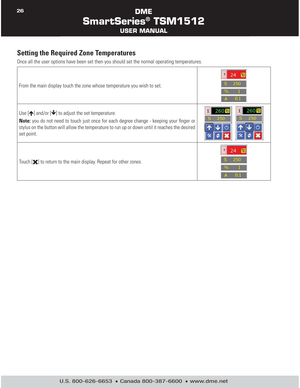# **Setting the Required Zone Temperatures**

Once all the user options have been set then you should set the normal operating temperatures.

| From the main display touch the zone whose temperature you wish to set.                                                                                                                                                                                                                         | 250 |
|-------------------------------------------------------------------------------------------------------------------------------------------------------------------------------------------------------------------------------------------------------------------------------------------------|-----|
| Use $[\spadesuit]$ and/or $[\rightharpoonup]$ to adjust the set temperature.<br><b>Note:</b> you do not need to touch just once for each degree change - keeping your finger or<br>stylus on the button will allow the temperature to run up or down until it reaches the desired<br>set point. | 250 |
| Touch [ $\triangle$ ] to return to the main display. Repeat for other zones.                                                                                                                                                                                                                    |     |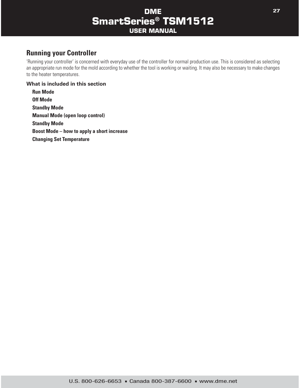## **Running your Controller**

'Running your controller' is concerned with everyday use of the controller for normal production use. This is considered as selecting an appropriate run mode for the mold according to whether the tool is working or waiting. It may also be necessary to make changes to the heater temperatures.

#### **What is included in this section**

**Run Mode Off Mode Standby Mode Manual Mode (open loop control) Standby Mode Boost Mode – how to apply a short increase Changing Set Temperature**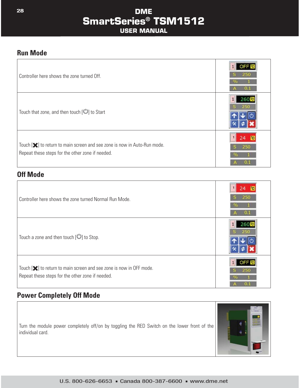#### **Run Mode**

| Controller here shows the zone turned Off.                                                                                                         | 250<br>O.I |
|----------------------------------------------------------------------------------------------------------------------------------------------------|------------|
| Touch that zone, and then touch $[\bigcup]$ to Start                                                                                               |            |
| Touch [ $\blacktriangleright$ ] to return to main screen and see zone is now in Auto-Run mode.<br>Repeat these steps for the other zone if needed. | 250        |

#### **Off Mode**

| Controller here shows the zone turned Normal Run Mode.                                                                                        |  |
|-----------------------------------------------------------------------------------------------------------------------------------------------|--|
| Touch a zone and then touch $[\mathbb{U}]$ to Stop.                                                                                           |  |
| Touch [ $\blacktriangleright$ ] to return to main screen and see zone is now in OFF mode.<br>Repeat these steps for the other zone if needed. |  |

# **Power Completely Off Mode**

Turn the module power completely off/on by toggling the RED Switch on the lower front of the individual card.

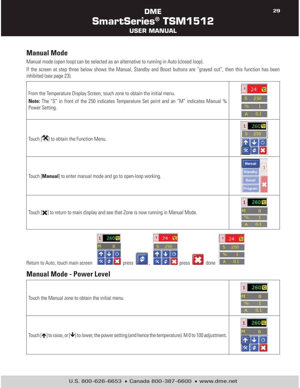# **Manual Mode**

Manual mode (open loop) can be selected as an alternative to running in Auto (closed loop).

If the screen at step three below shows the Manual, Standby and Boost buttons are "grayed out", then this function has been inhibited (see page 23).

| From the Temperature Display Screen, touch zone to obtain the initial menu.<br><b>Note:</b> The "S" in front of the 250 indicates Temperature Set point and an "M" indicates Manual %<br>Power Setting. | 250                                                  |
|---------------------------------------------------------------------------------------------------------------------------------------------------------------------------------------------------------|------------------------------------------------------|
| Touch $[\mathbf{\mathbf{X}}]$ to obtain the Function Menu.                                                                                                                                              | $260^\circ$ C                                        |
| Touch [Manual] to enter manual mode and go to open-loop working.                                                                                                                                        | Manua<br>Standb <sup>®</sup><br><b>Boos</b><br>roora |
| Touch [ $\blacktriangleright$ ] to return to main display and see that Zone is now running in Manual Mode.                                                                                              |                                                      |



### **Manual Mode - Power Level**

| Touch the Manual zone to obtain the initial menu.                                                                               | uı |
|---------------------------------------------------------------------------------------------------------------------------------|----|
| Touch $[\spadesuit]$ to raise, or $[\clubsuit]$ to lower, the power setting (and hence the temperature). M 0 to 100 adjustment. |    |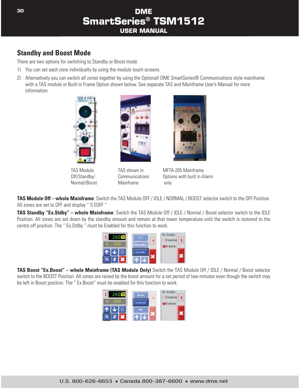### **Standby and Boost Mode**

There are two options for switching to Standby or Boost mode.

- 1) You can set each zone individually by using the module touch screens.
- 2) Alternatively you can switch all zones together by using the Optionall DME SmartSeries® Communications style mainframe with a TAS module or Built-in Frame Option shown below. See separate TAS and Mainframe User's Manual for more information.



TAS Module Off/Standby/ Normal/Boost



TAS shown in Communications Mainframe



MFTA-205 Mainframe Options with built in Alarm only

**TAS Module Off – whole Mainframe**: Switch the TAS Module OFF / IDLE / NORMAL / BOOST selector switch to the OFF Position. All zones are set to OFF and display " S EOFF "

**TAS Standby "Ex.Stdby" – whole Mainframe**: Switch the TAS Module Off / IDLE / Normal / Boost selector switch to the IDLE Position. All zones are set down by the standby amount and remain at that lower temperature until the switch is restored to the centre off position. The " Ex.Stdby " must be Enabled for this function to work.



**TAS Boost "Ex.Boost" – whole Mainframe (TAS Module Only)** Switch the TAS Module Off / IDLE / Normal / Boost selector switch to the BOOST Position. All zones are raised by the boost amount for a set period of two minutes even though the switch may be left in Boost position. The " Ex.Boost" must be enabled for this function to work.

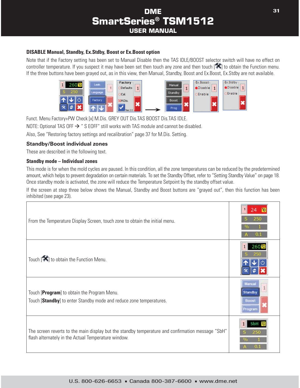#### **DISABLE Manual, Standby, Ex.Stdby, Boost or Ex.Boost option**

Note that if the Factory setting has been set to Manual Disable then the TAS IDLE/BOOST selector switch will have no effect on controller temperature. If you suspect it may have been set then touch any zone and then touch  $\Box$  to obtain the Function menu. If the three buttons have been grayed out, as in this view, then Manual, Standby, Boost and Ex.Boost, Ex.Stdby are not available.



Funct. Menu Factory+PW Check [x] M.Dis. GREY OUT Dis.TAS BOOST Dis.TAS IDLE. NOTE: Optional TAS OFF  $\rightarrow$  " S EOFF" still works with TAS module and cannot be disabled. Also, See "Restoring factory settings and recalibration" page 37 for M.Dis. Setting.

#### **Standby/Boost individual zones**

These are described in the following text.

#### **Standby mode – Individual zones**

This mode is for when the mold cycles are paused. In this condition, all the zone temperatures can be reduced by the predetermined amount, which helps to prevent degradation on certain materials. To set the Standby Offset, refer to "Setting Standby Value" on page 18. Once standby mode is activated, the zone will reduce the Temperature Setpoint by the standby offset value.

If the screen at step three below shows the Manual, Standby and Boost buttons are "grayed out", then this function has been inhibited (see page 23).

| From the Temperature Display Screen, touch zone to obtain the initial menu.                                                                              |                                            |
|----------------------------------------------------------------------------------------------------------------------------------------------------------|--------------------------------------------|
| Touch $\left[\bigstar\right]$ to obtain the Function Menu.                                                                                               | $260^\circ$ C                              |
| Touch [Program] to obtain the Program Menu.<br>Touch [Standby] to enter Standby mode and reduce zone temperatures.                                       | Manus<br><b>Standby</b><br>Boost<br>rooran |
| The screen reverts to the main display but the standby temperature and confirmation message "SbH"<br>flash alternately in the Actual Temperature window. | 250                                        |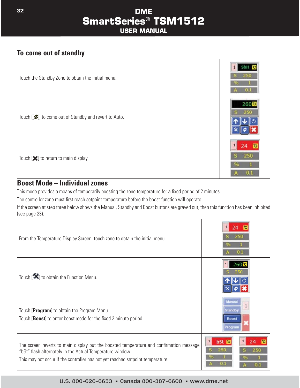# **To come out of standby**

| Touch the Standby Zone to obtain the initial menu.                           | 250 |
|------------------------------------------------------------------------------|-----|
| Touch [[ $\blacktriangleright$ ]] to come out of Standby and revert to Auto. | 260 |
| Touch $[\mathbf{\times}]$ to return to main display.                         | 250 |

#### **Boost Mode – Individual zones**

This mode provides a means of temporarily boosting the zone temperature for a fixed period of 2 minutes.

The controller zone must first reach setpoint temperature before the boost function will operate.

If the screen at step three below shows the Manual, Standby and Boost buttons are grayed out, then this function has been inhibited (see page 23).

| From the Temperature Display Screen, touch zone to obtain the initial menu.                                                                                                                                                            |                                                                  |
|----------------------------------------------------------------------------------------------------------------------------------------------------------------------------------------------------------------------------------------|------------------------------------------------------------------|
| Touch $\left[\bigstar\right]$ to obtain the Function Menu.                                                                                                                                                                             | 260 <sup>°</sup> c                                               |
| Touch [Program] to obtain the Program Menu.<br>Touch [ <b>Boost</b> ] to enter boost mode for the fixed 2 minute period.                                                                                                               | <b>Marrill</b><br>Standb <sup>®</sup><br><b>Boost</b><br>Program |
| The screen reverts to main display but the boosted temperature and confirmation message<br>"bSt" flash alternately in the Actual Temperature window.<br>This may not occur if the controller has not yet reached setpoint temperature. | bSt is<br>$\mathbf{1}$<br>24<br>250                              |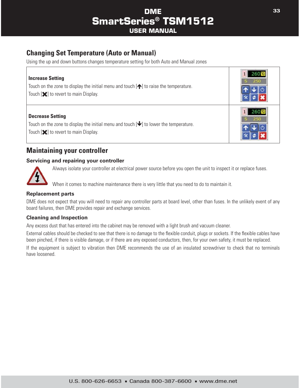# **Changing Set Temperature (Auto or Manual)**

Using the up and down buttons changes temperature setting for both Auto and Manual zones

| <b>Increase Setting</b><br>Touch on the zone to display the initial menu and touch $[\spadesuit]$ to raise the temperature.<br>Touch $[\mathbf{\times}]$ to revert to main Display.    | 250 |
|----------------------------------------------------------------------------------------------------------------------------------------------------------------------------------------|-----|
| <b>Decrease Setting</b><br>Touch on the zone to display the initial menu and touch $[\blacklozenge]$ to lower the temperature.<br>Touch $[\mathbf{\times}]$ to revert to main Display. | 250 |

#### **Maintaining your controller**

#### **Servicing and repairing your controller**



Г

Always isolate your controller at electrical power source before you open the unit to inspect it or replace fuses.

When it comes to machine maintenance there is very little that you need to do to maintain it.

#### **Replacement parts**

DME does not expect that you will need to repair any controller parts at board level, other than fuses. In the unlikely event of any board failures, then DME provides repair and exchange services.

#### **Cleaning and Inspection**

Any excess dust that has entered into the cabinet may be removed with a light brush and vacuum cleaner.

External cables should be checked to see that there is no damage to the flexible conduit, plugs or sockets. If the flexible cables have been pinched, if there is visible damage, or if there are any exposed conductors, then, for your own safety, it must be replaced.

If the equipment is subject to vibration then DME recommends the use of an insulated screwdriver to check that no terminals have loosened.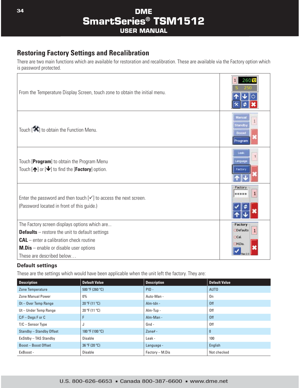### **Restoring Factory Settings and Recalibration**

There are two main functions which are available for restoration and recalibration. These are available via the Factory option which is password protected.

| From the Temperature Display Screen, touch zone to obtain the initial menu.                                                                                                                                                     | 260 <sup>°</sup> c                        |
|---------------------------------------------------------------------------------------------------------------------------------------------------------------------------------------------------------------------------------|-------------------------------------------|
| Touch $[\mathbf{\mathcal{K}}]$ to obtain the Function Menu.                                                                                                                                                                     | Manua<br>Standby<br>Boost<br>Program      |
| Touch [Program] to obtain the Program Menu<br>Touch $[\bigtriangleup]$ or $[\bigtriangledown]$ to find the [ <b>Factory</b> ] option.                                                                                           | anguag<br>actory                          |
| Enter the password and then touch $[\checkmark]$ to access the next screen.<br>(Password located in front of this guide.)                                                                                                       | Factor<br>******                          |
| The Factory screen displays options which are<br><b>Defaults</b> $-$ restore the unit to default settings<br>$CAL$ – enter a calibration check routine<br>$M.Dis$ – enable or disable user options<br>These are described below | Factory<br>Defaults<br>Cal<br><b>MDis</b> |

#### **Default settings**

These are the settings which would have been applicable when the unit left the factory. They are:

| <b>Description</b>        | <b>Default Value</b>    | <b>Description</b> | <b>Default Value</b> |
|---------------------------|-------------------------|--------------------|----------------------|
| <b>Zone Temperature</b>   | 500 °F (260 °C)         | $PID -$            | AUT <sub>0</sub>     |
| <b>Zone Manual Power</b>  | 0%                      | Auto-Man -         | 0n                   |
| Ot-Over Temp Range        | $20 \text{ °F}$ (11 °C) | Alm-tdn -          | 0ff                  |
| Ut-Under Temp Range       | 20 °F (11 °C)           | Alm-Tup -          | 0ff                  |
| $C/F - Deqs F$ or $C$     | F                       | Alm-Man -          | 0ff                  |
| $T/C -$ Sensor Type       | J                       | Gnd -              | 0ff                  |
| Standby - Standby Offset  | 180 °F (100 °C)         | Zone# $-$          | $\mathbf{0}$         |
| ExStdby - TAS Standby     | Disable                 | Leak -             | 100                  |
| <b>Boost-Boost Offset</b> | 36 °F (20 °C)           | Language -         | English              |
| ExBoost -                 | Disable                 | Factory – M.Dis    | Not checked          |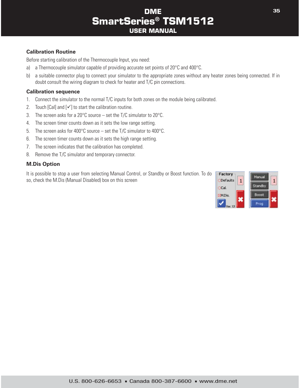#### **Calibration Routine**

Before starting calibration of the Thermocouple Input, you need:

- a) a Thermocouple simulator capable of providing accurate set points of 20°C and 400°C.
- b) a suitable connector plug to connect your simulator to the appropriate zones without any heater zones being connected. If in doubt consult the wiring diagram to check for heater and T/C pin connections.

#### **Calibration sequence**

- 1. Connect the simulator to the normal T/C inputs for both zones on the module being calibrated.
- 2. Touch [Cal] and  $[\checkmark]$  to start the calibration routine.
- 3. The screen asks for a 20 $\degree$ C source set the T/C simulator to 20 $\degree$ C.
- 4. The screen timer counts down as it sets the low range setting.
- 5. The screen asks for 400°C source set the T/C simulator to 400°C.
- 6. The screen timer counts down as it sets the high range setting.
- 7. The screen indicates that the calibration has completed.
- 8. Remove the T/C simulator and temporary connector.

#### **M.Dis Option**

It is possible to stop a user from selecting Manual Control, or Standby or Boost function. To do so, check the M.Dis (Manual Disabled) box on this screen

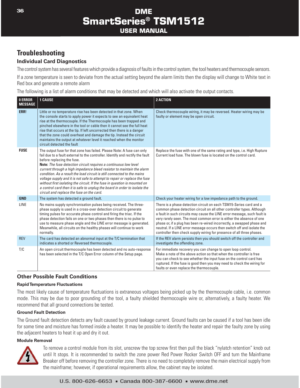# **Troubleshooting**

#### **Individual Card Diagnostics**

The control system has several features which provide a diagnosis of faults in the control system, the tool heaters and thermocouple sensors.

If a zone temperature is seen to deviate from the actual setting beyond the alarm limits then the display will change to White text in Red box and generate a remote alarm

The following is a list of alarm conditions that may be detected and which will also activate the output contacts.

| <b>O ERROR</b><br><b>MESSAGE</b> | <b>1 CAUSE</b>                                                                                                                                                                                                                                                                                                                                                                                                                                                                                                                                                                                                                                                                                        | <b>2 ACTION</b>                                                                                                                                                                                                                                                                                                                                                                                                                                                                                                                |
|----------------------------------|-------------------------------------------------------------------------------------------------------------------------------------------------------------------------------------------------------------------------------------------------------------------------------------------------------------------------------------------------------------------------------------------------------------------------------------------------------------------------------------------------------------------------------------------------------------------------------------------------------------------------------------------------------------------------------------------------------|--------------------------------------------------------------------------------------------------------------------------------------------------------------------------------------------------------------------------------------------------------------------------------------------------------------------------------------------------------------------------------------------------------------------------------------------------------------------------------------------------------------------------------|
| ERR!                             | Little or no temperature rise has been detected in that zone. When<br>the console starts to apply power it expects to see an equivalent heat<br>rise at the thermocouple. If the Thermocouple has been trapped and<br>pinched elsewhere in the tool or cable then it cannot see the full heat<br>rise that occurs at the tip. If left uncorrected then there is a danger<br>that the zone could overheat and damage the tip. Instead the circuit<br>maintains the output at whatever level it reached when the monitor<br>circuit detected the fault                                                                                                                                                  | Check thermocouple wiring, it may be reversed. Heater wiring may be<br>faulty or element may be open circuit.                                                                                                                                                                                                                                                                                                                                                                                                                  |
| <b>FUSE</b>                      | The output fuse for that zone has failed. Please Note: A fuse can only<br>fail due to a fault external to the controller. Identify and rectify the fault<br>before replacing the fuse.<br>Note: The fuse detection circuit requires a continuous low level<br>current through a high impedance bleed resistor to maintain the alarm<br>condition. As a result the load circuit is still connected to the mains<br>voltage supply and it is not safe to attempt to repair or replace the fuse<br>without first isolating the circuit. If the fuse in question is mounted on<br>a control card then it is safe to unplug the board in order to isolate the<br>circuit and replace the fuse on the card. | Replace the fuse with one of the same rating and type, i.e. High Rupture<br>Current load fuse. The blown fuse is located on the control card.                                                                                                                                                                                                                                                                                                                                                                                  |
| <b>GND</b>                       | The system has detected a ground fault.                                                                                                                                                                                                                                                                                                                                                                                                                                                                                                                                                                                                                                                               | Check your heater wiring for a low impedance path to the ground.                                                                                                                                                                                                                                                                                                                                                                                                                                                               |
| <b>LINE</b>                      | No mains supply synchronisation pulses being received. The three-<br>phase supply is used in a cross-over detection circuit to generate<br>timing pulses for accurate phase control and firing the triac. If the<br>phase detection fails on one or two phases then there is no pulse to<br>use to measure phase angle and the LINE error message is generated.<br>Meanwhile, all circuits on the healthy phases will continue to work<br>normally.                                                                                                                                                                                                                                                   | There is a phase detection circuit on each TSM15-Series card and a<br>common phase detection circuit on all other controller types. Although<br>a fault in such circuits may cause the LINE error message, such fault is<br>very rarely seen. The most common error is either the absence of one<br>phase or, if a plug has been re-wired incorrectly, a swapped phase and<br>neutral. If a LINE error message occurs then switch off and isolate the<br>controller then check supply wiring for presence of all three phases. |
| <b>REV</b>                       | The card has detected an abnormal input at the T/C termination that<br>indicates a shorted or Reversed thermocouple.                                                                                                                                                                                                                                                                                                                                                                                                                                                                                                                                                                                  | If the REV alarm persists then you should switch off the controller and<br>investigate the offending zone.                                                                                                                                                                                                                                                                                                                                                                                                                     |
| T/C                              | An open circuit thermocouple has been detected and no auto-response<br>has been selected in the T/C Open Error column of the Setup page.                                                                                                                                                                                                                                                                                                                                                                                                                                                                                                                                                              | For immediate recovery you can change to open loop control.<br>Make a note of the above action so that when the controller is free<br>you can check to see whether the input fuse on the control card has<br>ruptured. If the fuse is good then you may need to check the wiring for<br>faults or even replace the thermocouple.                                                                                                                                                                                               |

#### **Other Possible Fault Conditions**

#### **Rapid Temperature Fluctuations**

The most likely cause of temperature fluctuations is extraneous voltages being picked up by the thermocouple cable, i.e. common mode. This may be due to poor grounding of the tool, a faulty shielded thermocouple wire or, alternatively, a faulty heater. We recommend that all ground connections be tested.

#### **Ground Fault Detection**

The Ground fault detection detects any fault caused by ground leakage current. Ground faults can be caused if a tool has been idle for some time and moisture has formed inside a heater. It may be possible to identify the heater and repair the faulty zone by using the adjacent heaters to heat it up and dry it out.

#### **Module Removal**



To remove a control module from its slot, unscrew the top screw first then pull the black "nylatch retention" knob out until It stops. It is recommended to switch the zone power Red Power Rocker Switch OFF and turn the Mainframe Breaker off before removing the controller zone. There is no need to completely remove the main electrical supply from the mainframe; however, if operational requirements allow, the cabinet may be isolated.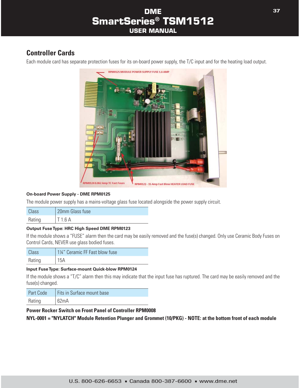# **Controller Cards**

Each module card has separate protection fuses for its on-board power supply, the T/C input and for the heating load output.



#### **On-board Power Supply - DME RPM0125**

The module power supply has a mains-voltage glass fuse located alongside the power supply circuit.

| <b>Class</b> | 20mm Glass fuse |
|--------------|-----------------|
| Rating       | T1.6A           |

#### **Output Fuse Type: HRC High Speed DME RPM0123**

If the module shows a "FUSE" alarm then the card may be easily removed and the fuse(s) changed. Only use Ceramic Body Fuses on Control Cards, NEVER use glass bodied fuses.

| Class  | 1¼" Ceramic FF Fast blow fuse |
|--------|-------------------------------|
| Rating | 15A                           |

#### **Input Fuse Type: Surface-mount Quick-blow RPM0124**

If the module shows a "T/C" alarm then this may indicate that the input fuse has ruptured. The card may be easily removed and the fuse(s) changed.

| <b>Part Code</b> | Fits in Surface mount base |
|------------------|----------------------------|
| Rating           | 62mA                       |

#### **Power Rocker Switch on Front Panel of Controller RPM0008**

**NYL-0001 = "NYLATCH" Module Retention Plunger and Grommet (10/PKG) - NOTE: at the bottom front of each module**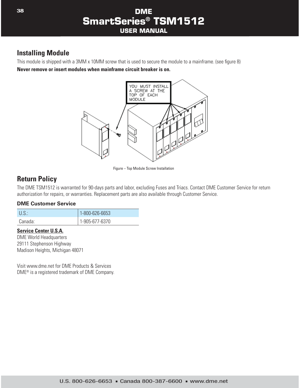#### **Installing Module**

This module is shipped with a 3MM x 10MM screw that is used to secure the module to a mainframe. (see figure 8) **Never remove or insert modules when mainframe circuit breaker is on.**



Figure – Top Module Screw Installation

### **Return Policy**

The DME TSM1512 is warranted for 90-days parts and labor, excluding Fuses and Triacs. Contact DME Customer Service for return authorization for repairs, or warranties. Replacement parts are also available through Customer Service.

#### **DME Customer Service**

| U.S.    | 1-800-626-6653 |
|---------|----------------|
| Canada: | 1-905-677-6370 |

#### **Service Center U.S.A.**

DME World Headquarters 29111 Stephenson Highway Madison Heights, Michigan 48071

Visit www.dme.net for DME Products & Services DME® is a registered trademark of DME Company.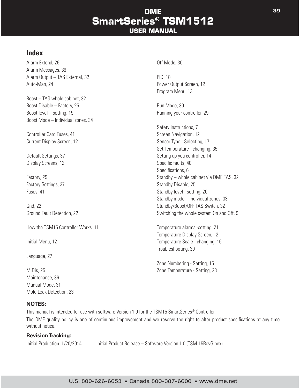#### **Index**

Alarm Extend, 26 Off Mode, 30 Alarm Messages, 39 Alarm Output – TAS External, 32 Auto-Man, 24 **Power Output Screen**, 12

Boost – TAS whole cabinet, 32 Boost Disable – Factory, 25 Run Mode, 30 Boost level – setting, 19 **Boost level – setting, 19** Running your controller, 29 Boost Mode – Individual zones, 34

Controller Card Fuses, 41 Screen Navigation, 12

Display Screens, 12 Specific faults, 40

How the TSM15 Controller Works, 11 Temperature alarms -setting, 21

Language, 27

Maintenance, 36 Manual Mode, 31 Mold Leak Detection, 23

#### **NOTES:**

This manual is intended for use with software Version 1.0 for the TSM15 SmartSeries® Controller

The DME quality policy is one of continuous improvement and we reserve the right to alter product specifications at any time without notice.

#### **Revision Tracking:**

Initial Production 1/20/2014 Initial Product Release – Software Version 1.0 (TSM-15RevG.hex)

Program Menu, 13

Safety Instructions, 7 Current Display Screen, 12 Sensor Type - Selecting, 17 Set Temperature - changing, 35 Default Settings, 37 Setting up you controller, 14 Specifications, 6 Factory, 25 Standby – whole cabinet via DME TAS, 32 Factory Settings, 37 Standby Disable, 25 Fuses, 41 Standby level - setting, 20 Standby mode – Individual zones, 33 Gnd, 22 Standby/Boost/OFF TAS Switch, 32 Ground Fault Detection, 22 **Switching the whole system On and Off**, 9

Temperature Display Screen, 12 Initial Menu, 12 Temperature Scale - changing, 16 Troubleshooting, 39

Zone Numbering - Setting, 15 M.Dis, 25 Zone Temperature - Setting, 28